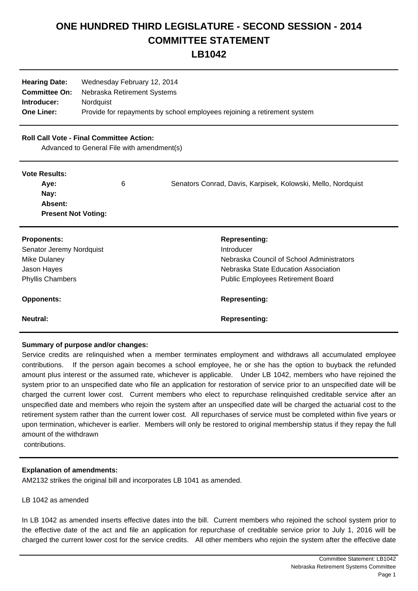# **ONE HUNDRED THIRD LEGISLATURE - SECOND SESSION - 2014 COMMITTEE STATEMENT**

**LB1042**

| <b>Hearing Date:</b> | Wednesday February 12, 2014                                              |
|----------------------|--------------------------------------------------------------------------|
| <b>Committee On:</b> | Nebraska Retirement Systems                                              |
| Introducer:          | <b>Nordauist</b>                                                         |
| <b>One Liner:</b>    | Provide for repayments by school employees rejoining a retirement system |

## **Roll Call Vote - Final Committee Action:**

Advanced to General File with amendment(s)

#### **Vote Results:**

|                            | Senators Conrad, Davis, Karpisek, Kolowski, Mello, Nordquist |
|----------------------------|--------------------------------------------------------------|
| Nay:                       |                                                              |
| Absent:                    |                                                              |
| <b>Present Not Voting:</b> |                                                              |

| <b>Proponents:</b>       | <b>Representing:</b>                                    |  |
|--------------------------|---------------------------------------------------------|--|
| Senator Jeremy Nordquist | Introducer<br>Nebraska Council of School Administrators |  |
| Mike Dulaney             |                                                         |  |
| Jason Hayes              | Nebraska State Education Association                    |  |
| <b>Phyllis Chambers</b>  | <b>Public Employees Retirement Board</b>                |  |
| <b>Opponents:</b>        | <b>Representing:</b>                                    |  |
| Neutral:                 | <b>Representing:</b>                                    |  |

# **Summary of purpose and/or changes:**

Service credits are relinquished when a member terminates employment and withdraws all accumulated employee contributions. If the person again becomes a school employee, he or she has the option to buyback the refunded amount plus interest or the assumed rate, whichever is applicable. Under LB 1042, members who have rejoined the system prior to an unspecified date who file an application for restoration of service prior to an unspecified date will be charged the current lower cost. Current members who elect to repurchase relinquished creditable service after an unspecified date and members who rejoin the system after an unspecified date will be charged the actuarial cost to the retirement system rather than the current lower cost. All repurchases of service must be completed within five years or upon termination, whichever is earlier. Members will only be restored to original membership status if they repay the full amount of the withdrawn

contributions.

# **Explanation of amendments:**

AM2132 strikes the original bill and incorporates LB 1041 as amended.

#### LB 1042 as amended

In LB 1042 as amended inserts effective dates into the bill. Current members who rejoined the school system prior to the effective date of the act and file an application for repurchase of creditable service prior to July 1, 2016 will be charged the current lower cost for the service credits. All other members who rejoin the system after the effective date